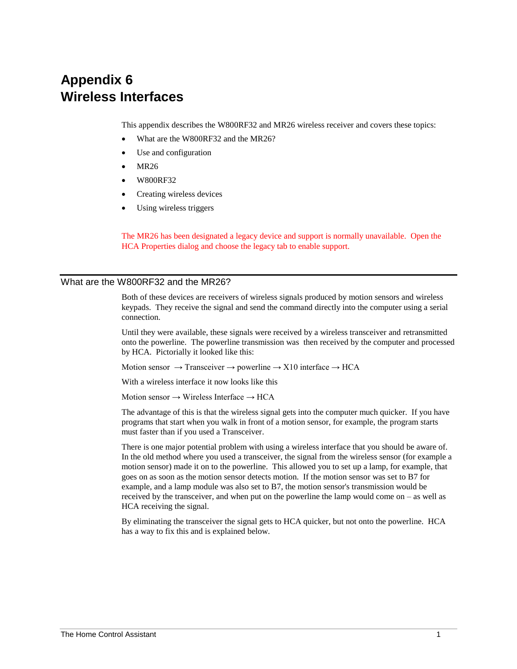# **Appendix 6 Wireless Interfaces**

This appendix describes the W800RF32 and MR26 wireless receiver and covers these topics:

- What are the W800RF32 and the MR26?
- Use and configuration
- MR26
- W800RF32
- Creating wireless devices
- Using wireless triggers

The MR26 has been designated a legacy device and support is normally unavailable. Open the HCA Properties dialog and choose the legacy tab to enable support.

#### What are the W800RF32 and the MR26?

Both of these devices are receivers of wireless signals produced by motion sensors and wireless keypads. They receive the signal and send the command directly into the computer using a serial connection.

Until they were available, these signals were received by a wireless transceiver and retransmitted onto the powerline. The powerline transmission was then received by the computer and processed by HCA. Pictorially it looked like this:

Motion sensor  $\rightarrow$  Transceiver  $\rightarrow$  powerline  $\rightarrow$  X10 interface  $\rightarrow$  HCA

With a wireless interface it now looks like this

Motion sensor  $\rightarrow$  Wireless Interface  $\rightarrow$  HCA

The advantage of this is that the wireless signal gets into the computer much quicker. If you have programs that start when you walk in front of a motion sensor, for example, the program starts must faster than if you used a Transceiver.

There is one major potential problem with using a wireless interface that you should be aware of. In the old method where you used a transceiver, the signal from the wireless sensor (for example a motion sensor) made it on to the powerline. This allowed you to set up a lamp, for example, that goes on as soon as the motion sensor detects motion. If the motion sensor was set to B7 for example, and a lamp module was also set to B7, the motion sensor's transmission would be received by the transceiver, and when put on the powerline the lamp would come on – as well as HCA receiving the signal.

By eliminating the transceiver the signal gets to HCA quicker, but not onto the powerline. HCA has a way to fix this and is explained below.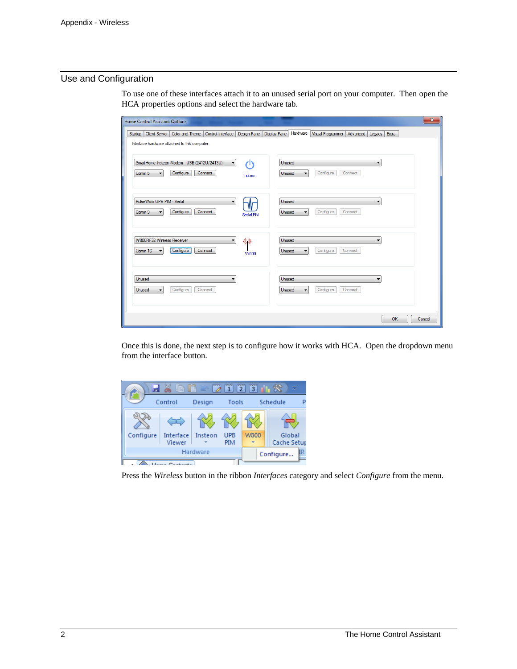## Use and Configuration

To use one of these interfaces attach it to an unused serial port on your computer. Then open the HCA properties options and select the hardware tab.

| <b>Home Control Assistant Options</b>                                                                                                                | $\overline{\mathbf{x}}$                                                                      |
|------------------------------------------------------------------------------------------------------------------------------------------------------|----------------------------------------------------------------------------------------------|
| Color and Theme<br>Client Server<br>Control Interface Design Pane<br><b>Display Pane</b><br>Startup<br>Interface hardware attached to this computer: | Hardware<br>Visual Programmer<br>Advanced Legacy<br>Extra                                    |
| SmartHome Insteon Modem - USB (2412U/2413U)<br>r۱۱<br>$\blacktriangledown$<br>Configure<br>Connect<br>Comm <sub>5</sub><br>۰<br>Insteon              | Unused<br>Configure<br>Connect<br><b>Unused</b><br>$\overline{\phantom{a}}$                  |
| PulseWorx UPB PIM - Serial<br>$\blacktriangledown$<br>Configure<br>Connect<br>Comm 9<br>Serial PIM                                                   | Unused<br>$\overline{\phantom{a}}$<br>Configure<br>Connect<br>Unused<br>$\blacktriangledown$ |
| W800RF32 Wireless Receiver<br>()<br>۰<br>Configure<br>Connect<br>Comm 16<br><b>W800</b>                                                              | Unused<br>$\overline{\phantom{a}}$<br>Configure<br>Connect<br>Unused                         |
| Unused<br>Configure<br>Connect<br>Unused                                                                                                             | Unused<br>Configure<br>Connect<br>Unused                                                     |
|                                                                                                                                                      | OK<br>Cancel                                                                                 |

Once this is done, the next step is to configure how it works with HCA. Open the dropdown menu from the interface button.



Press the *Wireless* button in the ribbon *Interfaces* category and select *Configure* from the menu.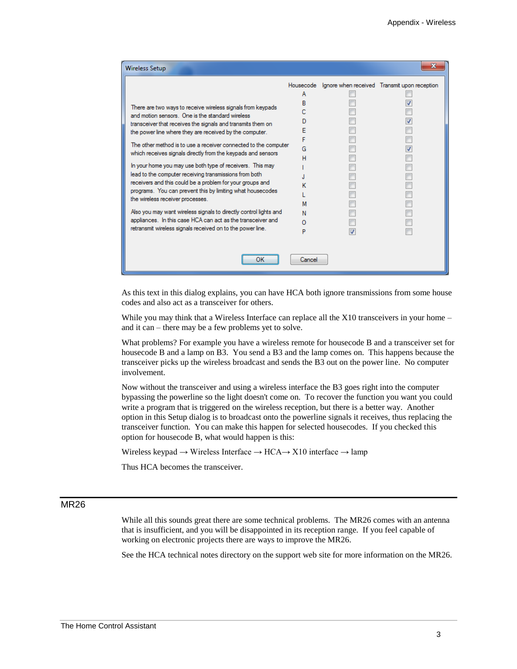| <b>Wireless Setup</b>                                             |        | x                                                      |
|-------------------------------------------------------------------|--------|--------------------------------------------------------|
|                                                                   |        | Housecode Ignore when received Transmit upon reception |
|                                                                   |        |                                                        |
| There are two ways to receive wireless signals from keypads       |        |                                                        |
| and motion sensors. One is the standard wireless                  |        |                                                        |
| transceiver that receives the signals and transmits them on       |        |                                                        |
| the power line where they are received by the computer.           |        |                                                        |
|                                                                   |        |                                                        |
| The other method is to use a receiver connected to the computer   | G      |                                                        |
| which receives signals directly from the keypads and sensors      |        |                                                        |
| In your home you may use both type of receivers. This may         |        |                                                        |
| lead to the computer receiving transmissions from both            |        |                                                        |
| receivers and this could be a problem for your groups and         |        |                                                        |
| programs. You can prevent this by limiting what housecodes        |        |                                                        |
| the wireless receiver processes.                                  |        |                                                        |
| Also you may want wireless signals to directly control lights and |        |                                                        |
| appliances. In this case HCA can act as the transceiver and       |        |                                                        |
| retransmit wireless signals received on to the power line.        |        |                                                        |
|                                                                   |        |                                                        |
| ок                                                                | Cancel |                                                        |

As this text in this dialog explains, you can have HCA both ignore transmissions from some house codes and also act as a transceiver for others.

While you may think that a Wireless Interface can replace all the X10 transceivers in your home – and it can – there may be a few problems yet to solve.

What problems? For example you have a wireless remote for housecode B and a transceiver set for housecode B and a lamp on B3. You send a B3 and the lamp comes on. This happens because the transceiver picks up the wireless broadcast and sends the B3 out on the power line. No computer involvement.

Now without the transceiver and using a wireless interface the B3 goes right into the computer bypassing the powerline so the light doesn't come on. To recover the function you want you could write a program that is triggered on the wireless reception, but there is a better way. Another option in this Setup dialog is to broadcast onto the powerline signals it receives, thus replacing the transceiver function. You can make this happen for selected housecodes. If you checked this option for housecode B, what would happen is this:

Wireless keypad → Wireless Interface → HCA→ X10 interface → lamp

Thus HCA becomes the transceiver.

## MR<sub>26</sub>

While all this sounds great there are some technical problems. The MR26 comes with an antenna that is insufficient, and you will be disappointed in its reception range. If you feel capable of working on electronic projects there are ways to improve the MR26.

See the HCA technical notes directory on the support web site for more information on the MR26.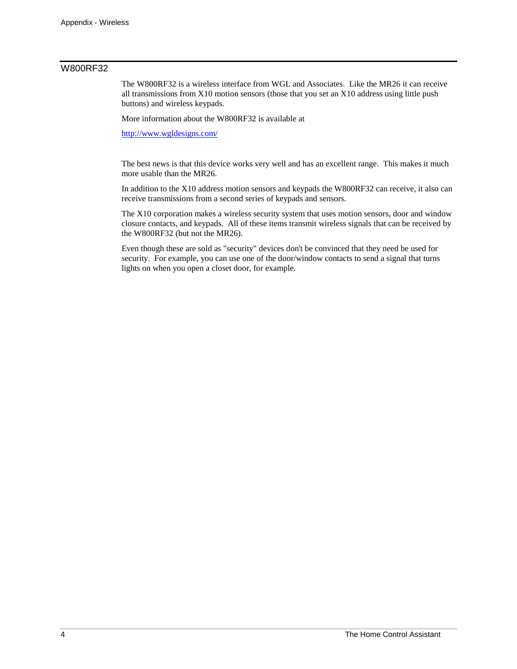# W800RF32

The W800RF32 is a wireless interface from WGL and Associates. Like the MR26 it can receive all transmissions from X10 motion sensors (those that you set an X10 address using little push buttons) and wireless keypads.

More information about the W800RF32 is available at

<http://www.wgldesigns.com/>

The best news is that this device works very well and has an excellent range. This makes it much more usable than the MR26.

In addition to the X10 address motion sensors and keypads the W800RF32 can receive, it also can receive transmissions from a second series of keypads and sensors.

The X10 corporation makes a wireless security system that uses motion sensors, door and window closure contacts, and keypads. All of these items transmit wireless signals that can be received by the W800RF32 (but not the MR26).

Even though these are sold as "security" devices don't be convinced that they need be used for security. For example, you can use one of the door/window contacts to send a signal that turns lights on when you open a closet door, for example.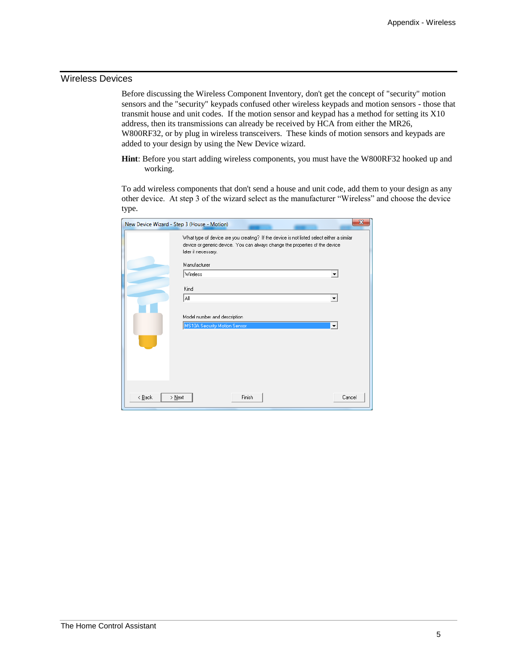## Wireless Devices

Before discussing the Wireless Component Inventory, don't get the concept of "security" motion sensors and the "security" keypads confused other wireless keypads and motion sensors - those that transmit house and unit codes. If the motion sensor and keypad has a method for setting its X10 address, then its transmissions can already be received by HCA from either the MR26, W800RF32, or by plug in wireless transceivers. These kinds of motion sensors and keypads are added to your design by using the New Device wizard.

**Hint**: Before you start adding wireless components, you must have the W800RF32 hooked up and working.

To add wireless components that don't send a house and unit code, add them to your design as any other device. At step 3 of the wizard select as the manufacturer "Wireless" and choose the device type.

| $\overline{\mathbf{x}}$<br>New Device Wizard - Step 3 (House - Motion) |                                                                                                                                                                                                  |        |  |  |
|------------------------------------------------------------------------|--------------------------------------------------------------------------------------------------------------------------------------------------------------------------------------------------|--------|--|--|
|                                                                        | What type of device are you creating? If the device is not listed select either a similar<br>device or generic device. You can always change the properties of the device<br>later if necessary. |        |  |  |
|                                                                        | Manufacturer                                                                                                                                                                                     |        |  |  |
|                                                                        | Wireless                                                                                                                                                                                         | ▼      |  |  |
|                                                                        | Kind                                                                                                                                                                                             |        |  |  |
|                                                                        | ΑIΙ                                                                                                                                                                                              |        |  |  |
|                                                                        |                                                                                                                                                                                                  |        |  |  |
| Model number and description                                           |                                                                                                                                                                                                  |        |  |  |
| MS10A Security Motion Sensor<br>$\blacktriangledown$                   |                                                                                                                                                                                                  |        |  |  |
|                                                                        |                                                                                                                                                                                                  |        |  |  |
|                                                                        |                                                                                                                                                                                                  |        |  |  |
|                                                                        |                                                                                                                                                                                                  |        |  |  |
|                                                                        |                                                                                                                                                                                                  |        |  |  |
|                                                                        |                                                                                                                                                                                                  |        |  |  |
|                                                                        |                                                                                                                                                                                                  |        |  |  |
| $\leq$ $\underline{B}$ ack                                             | Finish<br>> Next                                                                                                                                                                                 | Cancel |  |  |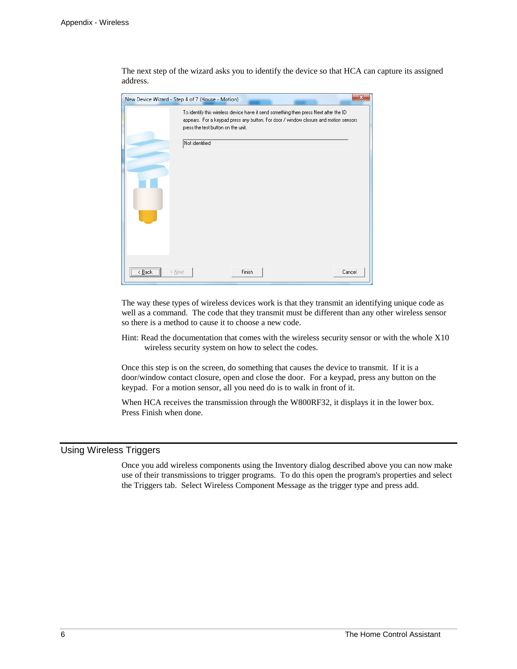The next step of the wizard asks you to identify the device so that HCA can capture its assigned address.

| $\mathbf{x}$<br>New Device Wizard - Step 4 of 7 (House - Motion) |                                                                                                                                                                                                                                       |  |
|------------------------------------------------------------------|---------------------------------------------------------------------------------------------------------------------------------------------------------------------------------------------------------------------------------------|--|
|                                                                  | To identify this wireless device have it send something then press Next after the ID<br>appears. For a keypad press any button. For door / window closure and motion sensors.<br>press the test button on the unit.<br>Not identified |  |
| $\overline{\langle \underline{B}ack \rangle}$<br>$>$ Next        | Finish<br>Cancel                                                                                                                                                                                                                      |  |

The way these types of wireless devices work is that they transmit an identifying unique code as well as a command. The code that they transmit must be different than any other wireless sensor so there is a method to cause it to choose a new code.

Hint: Read the documentation that comes with the wireless security sensor or with the whole X10 wireless security system on how to select the codes.

Once this step is on the screen, do something that causes the device to transmit. If it is a door/window contact closure, open and close the door. For a keypad, press any button on the keypad. For a motion sensor, all you need do is to walk in front of it.

When HCA receives the transmission through the W800RF32, it displays it in the lower box. Press Finish when done.

## Using Wireless Triggers

Once you add wireless components using the Inventory dialog described above you can now make use of their transmissions to trigger programs. To do this open the program's properties and select the Triggers tab. Select Wireless Component Message as the trigger type and press add.